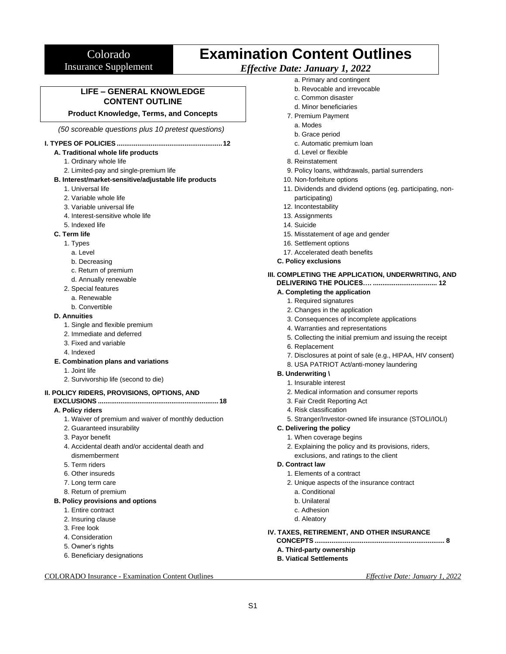# Colorado Insurance Supplement

# **Examination Content Outlines**

# *Effective Date: January 1, 2022*

**LIFE – GENERAL KNOWLEDGE CONTENT OUTLINE**

### **Product Knowledge, Terms, and Concepts**

*(50 scoreable questions plus 10 pretest questions)*

#### **I. TYPES OF POLICIES ........................................................12**

### **A. Traditional whole life products**

- 1. Ordinary whole life
- 2. Limited-pay and single-premium life

### **B. Interest/market-sensitive/adjustable life products**

- 1. Universal life
- 2. Variable whole life
- 3. Variable universal life
- 4. Interest-sensitive whole life
- 5. Indexed life

### **C. Term life**

- 1. Types
	- a. Level
	- b. Decreasing
	- c. Return of premium
	- d. Annually renewable
- 2. Special features
	- a. Renewable
	- b. Convertible

### **D. Annuities**

- 1. Single and flexible premium
- 2. Immediate and deferred
- 3. Fixed and variable
- 4. Indexed

#### **E. Combination plans and variations**

- 1. Joint life
- 2. Survivorship life (second to die)

### **II. POLICY RIDERS, PROVISIONS, OPTIONS, AND**

**EXCLUSIONS ................................................................ 18**

### **A. Policy riders**

- 1. Waiver of premium and waiver of monthly deduction
- 2. Guaranteed insurability
- 3. Payor benefit
- 4. Accidental death and/or accidental death and dismemberment
- 5. Term riders
- 6. Other insureds
- 7. Long term care
- 8. Return of premium

#### **B. Policy provisions and options**

- 1. Entire contract
- 2. Insuring clause
- 3. Free look
- 4. Consideration
- 5. Owner's rights
- 6. Beneficiary designations

### COLORADO Insurance - Examination Content Outlines *Effective Date: January 1, 2022*

- a. Primary and contingent
- b. Revocable and irrevocable
- c. Common disaster
- d. Minor beneficiaries
- 7. Premium Payment
	- a. Modes
	- b. Grace period
	- c. Automatic premium loan
	- d. Level or flexible
- 8. Reinstatement
- 9. Policy loans, withdrawals, partial surrenders
- 10. Non-forfeiture options
- 11. Dividends and dividend options (eg. participating, nonparticipating)
- 12. Incontestability
- 13. Assignments
- 14. Suicide
- 15. Misstatement of age and gender
- 16. Settlement options
- 17. Accelerated death benefits
- **C. Policy exclusions**
- **III. COMPLETING THE APPLICATION, UNDERWRITING, AND DELIVERING THE POLICES…. .................................. 12**

### **A. Completing the application**

- 1. Required signatures
- 2. Changes in the application
- 3. Consequences of incomplete applications
- 4. Warranties and representations
- 5. Collecting the initial premium and issuing the receipt
- 6. Replacement
- 7. Disclosures at point of sale (e.g., HIPAA, HIV consent)
- 8. USA PATRIOT Act/anti-money laundering

# **B. Underwriting \**

- 1. Insurable interest
- 2. Medical information and consumer reports
- 3. Fair Credit Reporting Act
- 4. Risk classification
- 5. Stranger/Investor-owned life insurance (STOLI/IOLI)

#### **C. Delivering the policy**

- 1. When coverage begins
- 2. Explaining the policy and its provisions, riders, exclusions, and ratings to the client
- **D. Contract law**
	- 1. Elements of a contract
	- 2. Unique aspects of the insurance contract
		- a. Conditional
		- b. Unilateral

**B. Viatical Settlements**

- c. Adhesion
- d. Aleatory

S1

### **IV. TAXES, RETIREMENT, AND OTHER INSURANCE**

**CONCEPTS ..................................................................... 8 A. Third-party ownership**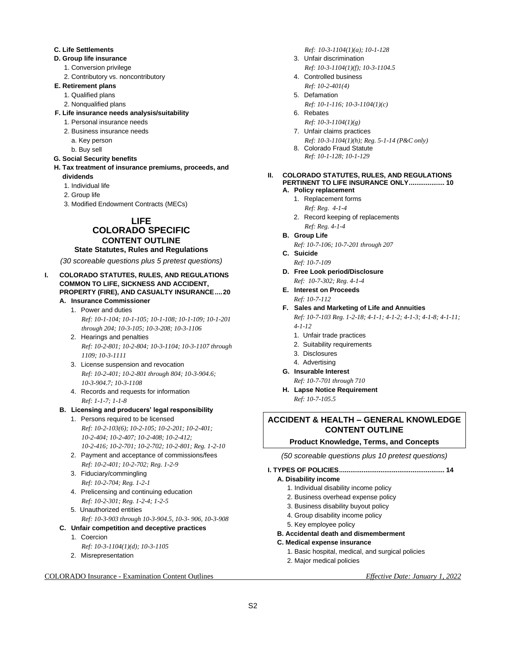### **C. Life Settlements**

### **D. Group life insurance**

- 1. Conversion privilege
- 2. Contributory vs. noncontributory

# **E. Retirement plans**

- 1. Qualified plans
- 2. Nonqualified plans
- **F. Life insurance needs analysis/suitability**
	- 1. Personal insurance needs
	- 2. Business insurance needs
		- a. Key person
	- b. Buy sell

#### **G. Social Security benefits**

- **H. Tax treatment of insurance premiums, proceeds, and dividends** 
	- 1. Individual life
	- 2. Group life
	- 3. Modified Endowment Contracts (MECs)

# **LIFE**

### **COLORADO SPECIFIC CONTENT OUTLINE**

# **State Statutes, Rules and Regulations**

*(30 scoreable questions plus 5 pretest questions)*

### **I. COLORADO STATUTES, RULES, AND REGULATIONS COMMON TO LIFE, SICKNESS AND ACCIDENT, PROPERTY (FIRE), AND CASUALTY INSURANCE....20**

- **A. Insurance Commissioner** 1. Power and duties *Ref: 10-1-104; 10-1-105; 10-1-108; 10-1-109; 10-1-201 through 204; 10-3-105; 10-3-208; 10-3-1106*
	- 2. Hearings and penalties *Ref: 10-2-801; 10-2-804; 10-3-1104; 10-3-1107 through 1109; 10-3-1111*
	- 3. License suspension and revocation *Ref: 10-2-401; 10-2-801 through 804; 10-3-904.6; 10-3-904.7; 10-3-1108*
	- 4. Records and requests for information *Ref: 1-1-7; 1-1-8*

### **B. Licensing and producers' legal responsibility**

- 1. Persons required to be licensed *Ref: 10-2-103(6); 10-2-105; 10-2-201; 10-2-401; 10-2-404; 10-2-407; 10-2-408; 10-2-412; 10-2-416; 10-2-701; 10-2-702; 10-2-801; Reg. 1-2-10*
- 2. Payment and acceptance of commissions/fees *Ref: 10-2-401; 10-2-702; Reg. 1-2-9*
- 3. Fiduciary/commingling *Ref: 10-2-704; Reg. 1-2-1*
- 4. Prelicensing and continuing education *Ref: 10-2-301; Reg. 1-2-4; 1-2-5*
- 5. Unauthorized entities
	- *Ref: 10-3-903 through 10-3-904.5, 10-3- 906, 10-3-908*
- **C. Unfair competition and deceptive practices**
	- 1. Coercion *Ref: 10-3-1104(1)(d); 10-3-1105*
	- 2. Misrepresentation

# COLORADO Insurance - Examination Content Outlines *Effective Date: January 1, 2022*

*Ref: 10-3-1104(1)(a); 10-1-128*

- 3. Unfair discrimination
	- *Ref: 10-3-1104(1)(f); 10-3-1104.5*
- 4. Controlled business *Ref: 10-2-401(4)*
- 5. Defamation
	- *Ref: 10-1-116; 10-3-1104(1)(c)*
- 6. Rebates
	- *Ref: 10-3-1104(1)(g)*
- 7. Unfair claims practices *Ref: 10-3-1104(1)(h); Reg. 5-1-14 (P&C only)*
- 8. Colorado Fraud Statute *Ref: 10-1-128; 10-1-129*

### **II. COLORADO STATUTES, RULES, AND REGULATIONS PERTINENT TO LIFE INSURANCE ONLY................... 10**

### **A. Policy replacement**

- 1. Replacement forms
	- *Ref: Reg. 4-1-4*
- 2. Record keeping of replacements *Ref: Reg. 4-1-4*
- **B. Group Life** *Ref: 10-7-106; 10-7-201 through 207*
- **C. Suicide**
- *Ref: 10-7-109* **D. Free Look period/Disclosure**
- *Ref: 10-7-302; Reg. 4-1-4*
- **E. Interest on Proceeds**
	- *Ref: 10-7-112*
- **F. Sales and Marketing of Life and Annuities**

*Ref: 10-7-103 Reg. 1-2-18; 4-1-1; 4-1-2; 4-1-3; 4-1-8; 4-1-11; 4-1-12*

- 1. Unfair trade practices
- 2. Suitability requirements
- 3. Disclosures
- 4. Advertising
- **G. Insurable Interest**
	- *Ref: 10-7-701 through 710*
- **H. Lapse Notice Requirement** *Ref: 10-7-105.5*

# **ACCIDENT & HEALTH – GENERAL KNOWLEDGE CONTENT OUTLINE**

# **Product Knowledge, Terms, and Concepts**

*(50 scoreable questions plus 10 pretest questions)*

**I. TYPES OF POLICIES........................................................ 14**

### **A. Disability income**

- 1. Individual disability income policy
- 2. Business overhead expense policy
- 3. Business disability buyout policy
- 4. Group disability income policy
- 5. Key employee policy
- **B. Accidental death and dismemberment**
- **C. Medical expense insurance** 
	- 1. Basic hospital, medical, and surgical policies
	- 2. Major medical policies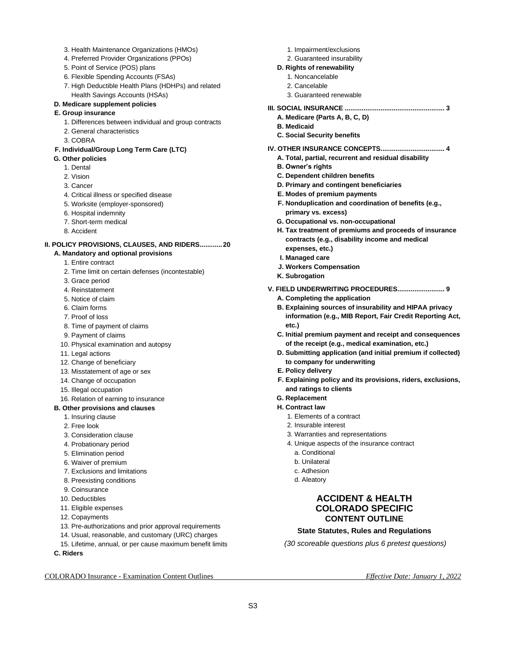- 3. Health Maintenance Organizations (HMOs)
- 4. Preferred Provider Organizations (PPOs)
- 5. Point of Service (POS) plans
- 6. Flexible Spending Accounts (FSAs)
- 7. High Deductible Health Plans (HDHPs) and related Health Savings Accounts (HSAs)

### **D. Medicare supplement policies**

- **E. Group insurance**
	- 1. Differences between individual and group contracts
	- 2. General characteristics
	- 3. COBRA

### **F. Individual/Group Long Term Care (LTC)**

- **G. Other policies**
	- 1. Dental
	- 2. Vision
	- 3. Cancer
	- 4. Critical illness or specified disease
	- 5. Worksite (employer-sponsored)
	- 6. Hospital indemnity
	- 7. Short-term medical
	- 8. Accident

# **II. POLICY PROVISIONS, CLAUSES, AND RIDERS............20**

- **A. Mandatory and optional provisions** 
	- 1. Entire contract
	- 2. Time limit on certain defenses (incontestable)
	- 3. Grace period
	- 4. Reinstatement
	- 5. Notice of claim
	- 6. Claim forms
	- 7. Proof of loss
	- 8. Time of payment of claims
	- 9. Payment of claims
	- 10. Physical examination and autopsy
	- 11. Legal actions
	- 12. Change of beneficiary
	- 13. Misstatement of age or sex
	- 14. Change of occupation
	- 15. Illegal occupation
	- 16. Relation of earning to insurance

# **B. Other provisions and clauses**

- 1. Insuring clause
- 2. Free look
- 3. Consideration clause
- 4. Probationary period
- 5. Elimination period
- 6. Waiver of premium
- 7. Exclusions and limitations
- 8. Preexisting conditions
- 9. Coinsurance
- 10. Deductibles
- 11. Eligible expenses
- 12. Copayments
- 13. Pre-authorizations and prior approval requirements
- 14. Usual, reasonable, and customary (URC) charges
- 15. Lifetime, annual, or per cause maximum benefit limits
- **C. Riders**

# COLORADO Insurance - Examination Content Outlines *Effective Date: January 1, 2022*

- 1. Impairment/exclusions
- 2. Guaranteed insurability
- **D. Rights of renewability** 
	- 1. Noncancelable
	- 2. Cancelable
	- 3. Guaranteed renewable
- **III. SOCIAL INSURANCE ..................................................... 3**
	- **A. Medicare (Parts A, B, C, D)**
	- **B. Medicaid**
	- **C. Social Security benefits**
- **IV. OTHER INSURANCE CONCEPTS.................................. 4**
	- **A. Total, partial, recurrent and residual disability**
	- **B. Owner's rights**
	- **C. Dependent children benefits**
	- **D. Primary and contingent beneficiaries**
	- **E. Modes of premium payments**
	- **F. Nonduplication and coordination of benefits (e.g., primary vs. excess)**
	- **G. Occupational vs. non-occupational**
	- **H. Tax treatment of premiums and proceeds of insurance contracts (e.g., disability income and medical expenses, etc.)**
	- **I. Managed care**
	- **J. Workers Compensation**
	- **K. Subrogation**
- **V. FIELD UNDERWRITING PROCEDURES......................... 9**
	- **A. Completing the application**
	- **B. Explaining sources of insurability and HIPAA privacy information (e.g., MIB Report, Fair Credit Reporting Act, etc.)**
	- **C. Initial premium payment and receipt and consequences of the receipt (e.g., medical examination, etc.)**
	- **D. Submitting application (and initial premium if collected) to company for underwriting**
	- **E. Policy delivery**
	- **F. Explaining policy and its provisions, riders, exclusions, and ratings to clients**
	- **G. Replacement**
	- **H. Contract law** 
		- 1. Elements of a contract
		- 2. Insurable interest
		- 3. Warranties and representations
		- 4. Unique aspects of the insurance contract
			- a. Conditional
			- b. Unilateral
			- c. Adhesion
			- d. Aleatory

# **ACCIDENT & HEALTH COLORADO SPECIFIC CONTENT OUTLINE**

# **State Statutes, Rules and Regulations**

*(30 scoreable questions plus 6 pretest questions)*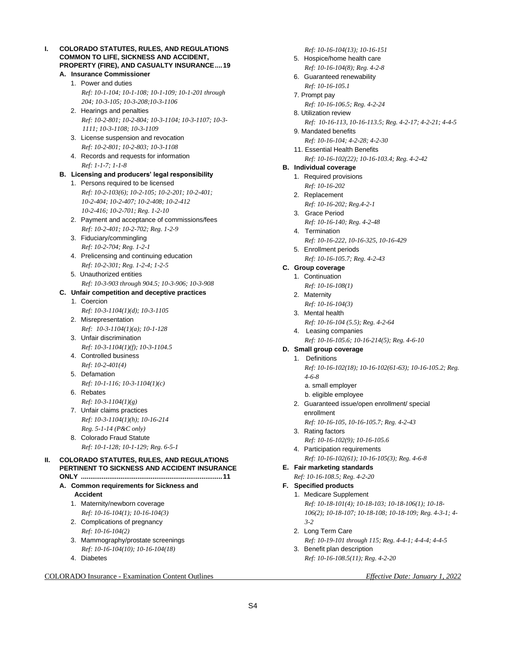### **I. COLORADO STATUTES, RULES, AND REGULATIONS COMMON TO LIFE, SICKNESS AND ACCIDENT, PROPERTY (FIRE), AND CASUALTY INSURANCE....19**

- **A. Insurance Commissioner** 1. Power and duties *Ref: 10-1-104; 10-1-108; 10-1-109; 10-1-201 through 204; 10-3-105; 10-3-208;10-3-1106*
	- 2. Hearings and penalties *Ref: 10-2-801; 10-2-804; 10-3-1104; 10-3-1107; 10-3- 1111; 10-3-1108; 10-3-1109*
	- 3. License suspension and revocation *Ref: 10-2-801; 10-2-803; 10-3-1108*
	- 4. Records and requests for information *Ref: 1-1-7; 1-1-8*

# **B. Licensing and producers' legal responsibility**

- 1. Persons required to be licensed *Ref: 10-2-103(6); 10-2-105; 10-2-201; 10-2-401; 10-2-404; 10-2-407; 10-2-408; 10-2-412 10-2-416; 10-2-701; Reg. 1-2-10*
- 2. Payment and acceptance of commissions/fees *Ref: 10-2-401; 10-2-702; Reg. 1-2-9*
- 3. Fiduciary/commingling *Ref: 10-2-704; Reg. 1-2-1*
- 4. Prelicensing and continuing education *Ref: 10-2-301; Reg. 1-2-4; 1-2-5*
- 5. Unauthorized entities *Ref: 10-3-903 through 904.5; 10-3-906; 10-3-908*

# **C. Unfair competition and deceptive practices**

- 1. Coercion *Ref: 10-3-1104(1)(d); 10-3-1105*
- 2. Misrepresentation *Ref: 10-3-1104(1)(a); 10-1-128*
- 3. Unfair discrimination *Ref: 10-3-1104(1)(f); 10-3-1104.5*
- 4. Controlled business *Ref: 10-2-401(4)*
- 5. Defamation
- *Ref: 10-1-116; 10-3-1104(1)(c)*  6. Rebates
	- *Ref: 10-3-1104(1)(g)*
- 7. Unfair claims practices *Ref: 10-3-1104(1)(h); 10-16-214 Reg. 5-1-14 (P&C only)*
- 8. Colorado Fraud Statute *Ref: 10-1-128; 10-1-129; Reg. 6-5-1*

#### **II. COLORADO STATUTES, RULES, AND REGULATIONS PERTINENT TO SICKNESS AND ACCIDENT INSURANCE ONLY ...........................................................................11**

- **A. Common requirements for Sickness and Accident**
	- 1. Maternity/newborn coverage *Ref: 10-16-104(1); 10-16-104(3)*
	- 2. Complications of pregnancy *Ref: 10-16-104(2)*
	- 3. Mammography/prostate screenings *Ref: 10-16-104(10); 10-16-104(18)*
	- 4. Diabetes

# COLORADO Insurance - Examination Content Outlines *Effective Date: January 1, 2022*

*Ref: 10-16-104(13); 10-16-151*

- 5. Hospice/home health care
	- *Ref: 10-16-104(8); Reg. 4-2-8*
- 6. Guaranteed renewability *Ref: 10-16-105.1*
- 7. Prompt pay
	- *Ref: 10-16-106.5; Reg. 4-2-24*
- 8. Utilization review
	- *Ref: 10-16-113, 10-16-113.5; Reg. 4-2-17; 4-2-21; 4-4-5*
- 9. Mandated benefits
	- *Ref: 10-16-104; 4-2-28; 4-2-30*
- 11. Essential Health Benefits *Ref: 10-16-102(22); 10-16-103.4; Reg. 4-2-42*

# **B. Individual coverage**

- 1. Required provisions *Ref: 10-16-202*
- 2. Replacement
	- *Ref: 10-16-202; Reg.4-2-1*
- 3. Grace Period *Ref: 10-16-140; Reg. 4-2-48*
- 4. Termination *Ref: 10-16-222, 10-16-325, 10-16-429*
- 5. Enrollment periods
- *Ref: 10-16-105.7; Reg. 4-2-43*
- **C. Group coverage**
	- 1. Continuation *Ref: 10-16-108(1)*
		-
	- 2. Maternity *Ref: 10-16-104(3)*
	- 3. Mental health
		- *Ref: 10-16-104 (5.5); Reg. 4-2-64*
	- 4. Leasing companies *Ref: 10-16-105.6; 10-16-214(5); Reg. 4-6-10*
- **D. Small group coverage**

# 1. Definitions

- *Ref: 10-16-102(18); 10-16-102(61-63); 10-16-105.2; Reg. 4-6-8*
- a. small employer
- b. eligible employee
- 2. Guaranteed issue/open enrollment/ special enrollment
	- *Ref: 10-16-105, 10-16-105.7; Reg. 4-2-43*
- 3. Rating factors
	- *Ref: 10-16-102(9); 10-16-105.6*
- 4. Participation requirements *Ref: 10-16-102(61); 10-16-105(3); Reg. 4-6-8*
- **E. Fair marketing standards**

*Ref: 10-16-108.5; Reg. 4-2-20*

# **F. Specified products**

1. Medicare Supplement *Ref: 10-18-101(4); 10-18-103; 10-18-106(1); 10-18- 106(2); 10-18-107; 10-18-108; 10-18-109; Reg. 4-3-1; 4- 3-2*

- 2. Long Term Care *Ref: 10-19-101 through 115; Reg. 4-4-1; 4-4-4; 4-4-5*
- 3. Benefit plan description *Ref: 10-16-108.5(11); Reg. 4-2-20*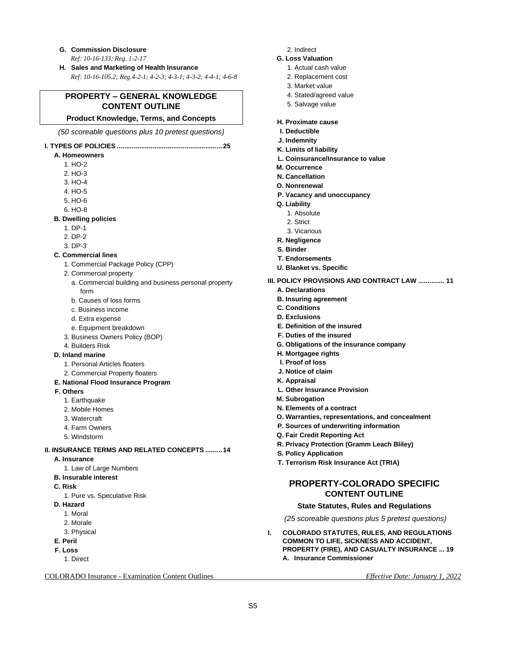- **G. Commission Disclosure** *Ref: 10-16-133; Reg. 1-2-17*
- **H. Sales and Marketing of Health Insurance** *Ref: 10-16-105.2; Reg.4-2-1; 4-2-3; 4-3-1; 4-3-2; 4-4-1; 4-6-8*

# **PROPERTY – GENERAL KNOWLEDGE CONTENT OUTLINE**

### **Product Knowledge, Terms, and Concepts**

*(50 scoreable questions plus 10 pretest questions)*

# **I. TYPES OF POLICIES ........................................................25**

- **A. Homeowners** 
	- 1. HO-2
	- 2. HO-3
	- 3. HO-4
	- 4. HO-5
	- 5. HO-6
	- 6. HO-8
- **B. Dwelling policies**
	- 1. DP-1
	- 2. DP-2
	- 3. DP-3
- **C. Commercial lines** 
	- 1. Commercial Package Policy (CPP)
	- 2. Commercial property
		- a. Commercial building and business personal property form
		- b. Causes of loss forms
		- c. Business income
		- d. Extra expense
	- e. Equipment breakdown
	- 3. Business Owners Policy (BOP)
	- 4. Builders Risk

#### **D. Inland marine**

- 1. Personal Articles floaters
- 2. Commercial Property floaters
- **E. National Flood Insurance Program**
- **F. Others**
	- 1. Earthquake
	- 2. Mobile Homes
	- 3. Watercraft
	- 4. Farm Owners
	- 5. Windstorm
- **II. INSURANCE TERMS AND RELATED CONCEPTS .........14**
	- **A. Insurance** 
		- 1. Law of Large Numbers
	- **B. Insurable interest**
	- **C. Risk** 
		- 1. Pure vs. Speculative Risk
	- **D. Hazard** 
		- 1. Moral
		- 2. Morale
		- 3. Physical
	- **E. Peril**
	- **F. Loss** 
		- 1. Direct

COLORADO Insurance - Examination Content Outlines *Effective Date: January 1, 2022*

- 2. Indirect
- **G. Loss Valuation**
	- 1. Actual cash value
	- 2. Replacement cost
	- 3. Market value
	- 4. Stated/agreed value
	- 5. Salvage value
- **H. Proximate cause**
- **I. Deductible**
- **J. Indemnity**
- **K. Limits of liability**
- **L. Coinsurance/Insurance to value**
- **M. Occurrence**
- **N. Cancellation**
- **O. Nonrenewal**
- **P. Vacancy and unoccupancy**
- **Q. Liability** 
	- 1. Absolute
	- 2. Strict
	- 3. Vicarious
- **R. Negligence**
- **S. Binder**
- **T. Endorsements**
- **U. Blanket vs. Specific**
- **III. POLICY PROVISIONS AND CONTRACT LAW .............. 11**
	- **A. Declarations**
	- **B. Insuring agreement**
	- **C. Conditions**
	- **D. Exclusions**
	- **E. Definition of the insured**
	- **F. Duties of the insured**
	- **G. Obligations of the insurance company**
	- **H. Mortgagee rights**
	- **I. Proof of loss**
	- **J. Notice of claim**
	- **K. Appraisal**

S5

- **L. Other Insurance Provision**
- **M. Subrogation**
- **N. Elements of a contract**
- **O. Warranties, representations, and concealment**
- **P. Sources of underwriting information**
- **Q. Fair Credit Reporting Act**
- **R. Privacy Protection (Gramm Leach Bliley)**
- **S. Policy Application**
- **T. Terrorism Risk Insurance Act (TRIA)**

# **PROPERTY-COLORADO SPECIFIC CONTENT OUTLINE**

### **State Statutes, Rules and Regulations**

*(25 scoreable questions plus 5 pretest questions)*

**I. COLORADO STATUTES, RULES, AND REGULATIONS COMMON TO LIFE, SICKNESS AND ACCIDENT, PROPERTY (FIRE), AND CASUALTY INSURANCE ... 19 A. Insurance Commissioner**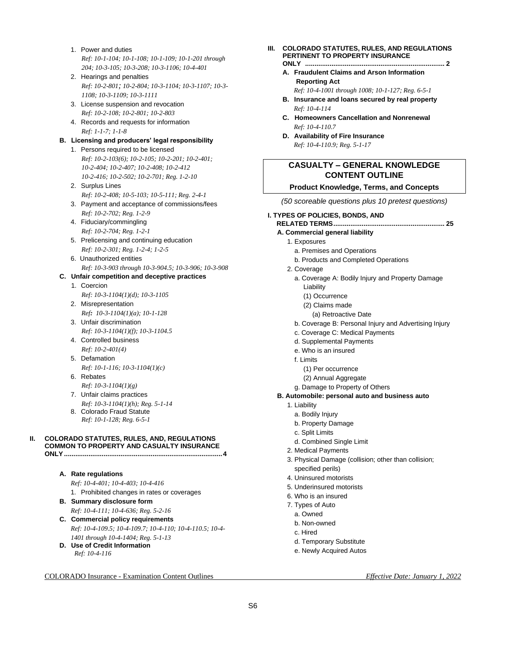- 1. Power and duties *Ref: 10-1-104; 10-1-108; 10-1-109; 10-1-201 through 204; 10-3-105; 10-3-208; 10-3-1106; 10-4-401*
- 2. Hearings and penalties *Ref: 10-2-801; 10-2-804; 10-3-1104; 10-3-1107; 10-3- 1108; 10-3-1109; 10-3-1111*
- 3. License suspension and revocation *Ref: 10-2-108; 10-2-801; 10-2-803*
- 4. Records and requests for information *Ref: 1-1-7; 1-1-8*

# **B. Licensing and producers' legal responsibility**

- 1. Persons required to be licensed *Ref: 10-2-103(6); 10-2-105; 10-2-201; 10-2-401; 10-2-404; 10-2-407; 10-2-408; 10-2-412 10-2-416; 10-2-502; 10-2-701; Reg. 1-2-10*
- 2. Surplus Lines *Ref: 10-2-408; 10-5-103; 10-5-111; Reg. 2-4-1*
- 3. Payment and acceptance of commissions/fees *Ref: 10-2-702; Reg. 1-2-9*
- 4. Fiduciary/commingling *Ref: 10-2-704; Reg. 1-2-1*
- 5. Prelicensing and continuing education *Ref: 10-2-301; Reg. 1-2-4; 1-2-5*
- 6. Unauthorized entities *Ref: 10-3-903 through 10-3-904.5; 10-3-906; 10-3-908*

### **C. Unfair competition and deceptive practices**

- 1. Coercion *Ref: 10-3-1104(1)(d); 10-3-1105*
- 2. Misrepresentation *Ref: 10-3-1104(1)(a); 10-1-128*
- 3. Unfair discrimination
- *Ref: 10-3-1104(1)(f); 10-3-1104.5* 4. Controlled business
	- *Ref: 10-2-401(4)*
- 5. Defamation
- *Ref: 10-1-116; 10-3-1104(1)(c)*  6. Rebates
	- *Ref: 10-3-1104(1)(g)*
- 7. Unfair claims practices
- *Ref: 10-3-1104(1)(h); Reg. 5-1-14*
- 8. Colorado Fraud Statute *Ref: 10-1-128; Reg. 6-5-1*

# **II. COLORADO STATUTES, RULES, AND, REGULATIONS COMMON TO PROPERTY AND CASUALTY INSURANCE**

**ONLY....................................................................................4**

### **A. Rate regulations**

*Ref: 10-4-401; 10-4-403; 10-4-416* 1. Prohibited changes in rates or coverages

- **B. Summary disclosure form**
	- *Ref: 10-4-111; 10-4-636; Reg. 5-2-16*
- **C. Commercial policy requirements** *Ref: 10-4-109.5; 10-4-109.7; 10-4-110; 10-4-110.5; 10-4- 1401 through 10-4-1404; Reg. 5-1-13*
- **D. Use of Credit Information** *Ref: 10-4-116*

# COLORADO Insurance - Examination Content Outlines *Effective Date: January 1, 2022*

- **III. COLORADO STATUTES, RULES, AND REGULATIONS PERTINENT TO PROPERTY INSURANCE ONLY .......................................................................... 2**
	- **A. Fraudulent Claims and Arson Information Reporting Act**

*Ref: 10-4-1001 through 1008; 10-1-127; Reg. 6-5-1*

- **B. Insurance and loans secured by real property** *Ref: 10-4-114*
- **C. Homeowners Cancellation and Nonrenewal** *Ref: 10-4-110.7*
- **D. Availability of Fire Insurance** *Ref: 10-4-110.9; Reg. 5-1-17*

# **CASUALTY – GENERAL KNOWLEDGE CONTENT OUTLINE**

# **Product Knowledge, Terms, and Concepts**

*(50 scoreable questions plus 10 pretest questions)*

#### **I. TYPES OF POLICIES, BONDS, AND**

- **RELATED TERMS........................................................... 25**
- **A. Commercial general liability** 
	- 1. Exposures
		- a. Premises and Operations
		- b. Products and Completed Operations
	- 2. Coverage
		- a. Coverage A: Bodily Injury and Property Damage Liability
			- (1) Occurrence
			- (2) Claims made
			- (a) Retroactive Date
		- b. Coverage B: Personal Injury and Advertising Injury
		- c. Coverage C: Medical Payments
		- d. Supplemental Payments
		- e. Who is an insured
		- f. Limits
			- (1) Per occurrence
			- (2) Annual Aggregate
		- g. Damage to Property of Others
- **B. Automobile: personal auto and business auto** 
	- 1. Liability
		- a. Bodily Injury
		- b. Property Damage
		- c. Split Limits
		- d. Combined Single Limit
	- 2. Medical Payments
	- 3. Physical Damage (collision; other than collision; specified perils)
	- 4. Uninsured motorists
	- 5. Underinsured motorists
	- 6. Who is an insured
	- 7. Types of Auto
	- a. Owned
	- b. Non-owned
	- c. Hired
	- d. Temporary Substitute
	- e. Newly Acquired Autos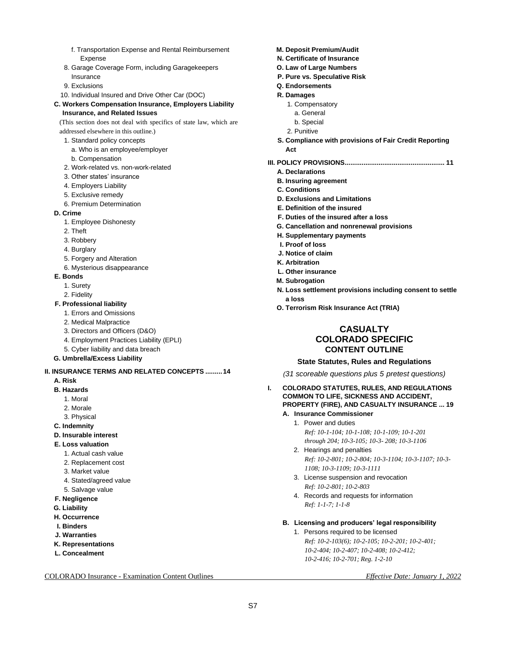- f. Transportation Expense and Rental Reimbursement Expense
- 8. Garage Coverage Form, including Garagekeepers Insurance
- 9. Exclusions
- 10. Individual Insured and Drive Other Car (DOC)

#### **C. Workers Compensation Insurance, Employers Liability Insurance, and Related Issues**

(This section does not deal with specifics of state law, which are addressed elsewhere in this outline.)

- 1. Standard policy concepts
	- a. Who is an employee/employer
	- b. Compensation
- 2. Work-related vs. non-work-related
- 3. Other states' insurance
- 4. Employers Liability
- 5. Exclusive remedy
- 6. Premium Determination

#### **D. Crime**

- 1. Employee Dishonesty
- 2. Theft
- 3. Robbery
- 4. Burglary
- 5. Forgery and Alteration
- 6. Mysterious disappearance
- **E. Bonds**
	- 1. Surety
	- 2. Fidelity
- **F. Professional liability**
	- 1. Errors and Omissions
	- 2. Medical Malpractice
	- 3. Directors and Officers (D&O)
	- 4. Employment Practices Liability (EPLI)
	- 5. Cyber liability and data breach
- **G. Umbrella/Excess Liability**

### **II. INSURANCE TERMS AND RELATED CONCEPTS .........14**

- **A. Risk**
- **B. Hazards**
	- 1. Moral
	- 2. Morale
	- 3. Physical
- **C. Indemnity**
- **D. Insurable interest**
- **E. Loss valuation**
	- 1. Actual cash value
	- 2. Replacement cost
	- 3. Market value
	- 4. Stated/agreed value
	- 5. Salvage value
- **F. Negligence**
- **G. Liability**
- **H. Occurrence**
- **I. Binders**
- **J. Warranties**
- **K. Representations**
- **L. Concealment**

COLORADO Insurance - Examination Content Outlines *Effective Date: January 1, 2022*

- **M. Deposit Premium/Audit**
- **N. Certificate of Insurance**
- **O. Law of Large Numbers**
- **P. Pure vs. Speculative Risk**
- **Q. Endorsements**
- **R. Damages**
	- 1. Compensatory
	- a. General
	- b. Special
	- 2. Punitive
- **S. Compliance with provisions of Fair Credit Reporting Act**
- **III. POLICY PROVISIONS..................................................... 11**
	- **A. Declarations**
	- **B. Insuring agreement**
	- **C. Conditions**
	- **D. Exclusions and Limitations**
	- **E. Definition of the insured**
	- **F. Duties of the insured after a loss**
	- **G. Cancellation and nonrenewal provisions**
	- **H. Supplementary payments**
	- **I. Proof of loss**
	- **J. Notice of claim**
	- **K. Arbitration**
	- **L. Other insurance**
	- **M. Subrogation**
	- **N. Loss settlement provisions including consent to settle a loss**
	- **O. Terrorism Risk Insurance Act (TRIA)**

# **CASUALTY COLORADO SPECIFIC CONTENT OUTLINE**

#### **State Statutes, Rules and Regulations**

*(31 scoreable questions plus 5 pretest questions)*

- **I. COLORADO STATUTES, RULES, AND REGULATIONS COMMON TO LIFE, SICKNESS AND ACCIDENT, PROPERTY (FIRE), AND CASUALTY INSURANCE ... 19**
	- **A. Insurance Commissioner**
		- 1. Power and duties *Ref: 10-1-104; 10-1-108; 10-1-109; 10-1-201 through 204; 10-3-105; 10-3- 208; 10-3-1106*
		- 2. Hearings and penalties *Ref: 10-2-801; 10-2-804; 10-3-1104; 10-3-1107; 10-3- 1108; 10-3-1109; 10-3-1111*
		- 3. License suspension and revocation *Ref: 10-2-801; 10-2-803*
		- 4. Records and requests for information *Ref: 1-1-7; 1-1-8*
	- **B. Licensing and producers' legal responsibility**
		- 1. Persons required to be licensed *Ref: 10-2-103(6); 10-2-105; 10-2-201; 10-2-401; 10-2-404; 10-2-407; 10-2-408; 10-2-412; 10-2-416; 10-2-701; Reg. 1-2-10*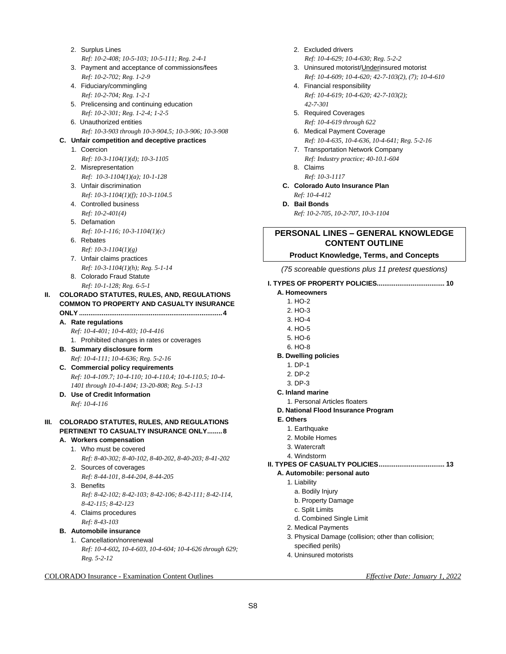- 2. Surplus Lines *Ref: 10-2-408; 10-5-103; 10-5-111; Reg. 2-4-1*
- 3. Payment and acceptance of commissions/fees *Ref: 10-2-702; Reg. 1-2-9*
- 4. Fiduciary/commingling *Ref: 10-2-704; Reg. 1-2-1*
- 5. Prelicensing and continuing education *Ref: 10-2-301; Reg. 1-2-4; 1-2-5*
- 6. Unauthorized entities *Ref: 10-3-903 through 10-3-904.5; 10-3-906; 10-3-908*

# **C. Unfair competition and deceptive practices**

- 1. Coercion
- *Ref: 10-3-1104(1)(d); 10-3-1105*
- 2. Misrepresentation *Ref: 10-3-1104(1)(a); 10-1-128*
- 3. Unfair discrimination *Ref: 10-3-1104(1)(f); 10-3-1104.5*
- 4. Controlled business *Ref: 10-2-401(4)*
- 5. Defamation
- *Ref: 10-1-116; 10-3-1104(1)(c)*
- 6. Rebates
	- *Ref: 10-3-1104(1)(g)*
- 7. Unfair claims practices *Ref: 10-3-1104(1)(h); Reg. 5-1-14*
- 8. Colorado Fraud Statute *Ref: 10-1-128; Reg. 6-5-1*
- **II. COLORADO STATUTES, RULES, AND, REGULATIONS COMMON TO PROPERTY AND CASUALTY INSURANCE ONLY ............................................................................4**
	- **A. Rate regulations**
		- *Ref: 10-4-401; 10-4-403; 10-4-416*
		- 1. Prohibited changes in rates or coverages
	- **B. Summary disclosure form** *Ref: 10-4-111; 10-4-636; Reg. 5-2-16*
	- **C. Commercial policy requirements** *Ref: 10-4-109.7; 10-4-110; 10-4-110.4; 10-4-110.5; 10-4- 1401 through 10-4-1404; 13-20-808; Reg. 5-1-13*
	- **D. Use of Credit Information** *Ref: 10-4-116*

### **III. COLORADO STATUTES, RULES, AND REGULATIONS PERTINENT TO CASUALTY INSURANCE ONLY........8**

- **A. Workers compensation**
	- 1. Who must be covered
	- *Ref: 8-40-302; 8-40-102, 8-40-202, 8-40-203; 8-41-202* 2. Sources of coverages
	- *Ref: 8-44-101, 8-44-204, 8-44-205*
	- 3. Benefits *Ref: 8-42-102; 8-42-103; 8-42-106; 8-42-111; 8-42-114, 8-42-115; 8-42-123*
	- 4. Claims procedures *Ref: 8-43-103*
- **B. Automobile insurance**
	- 1. Cancellation/nonrenewal
		- *Ref: 10-4-602, 10-4-603, 10-4-604; 10-4-626 through 629; Reg. 5-2-12*

COLORADO Insurance - Examination Content Outlines *Effective Date: January 1, 2022*

- 2. Excluded drivers *Ref: 10-4-629; 10-4-630; Reg. 5-2-2*
- 3. Uninsured motorist/Underinsured motorist *Ref: 10-4-609; 10-4-620; 42-7-103(2), (7); 10-4-610*
- 4. Financial responsibility *Ref: 10-4-619; 10-4-620; 42-7-103(2); 42-7-301*
- 5. Required Coverages *Ref: 10-4-619 through 622*
- 6. Medical Payment Coverage *Ref: 10-4-635, 10-4-636, 10-4-641; Reg. 5-2-16*
- 7. Transportation Network Company *Ref: Industry practice; 40-10.1-604*
- 8. Claims *Ref: 10-3-1117*
- **C. Colorado Auto Insurance Plan** *Ref: 10-4-412*
- **D. Bail Bonds** *Ref: 10-2-705, 10-2-707, 10-3-1104*

# **PERSONAL LINES – GENERAL KNOWLEDGE CONTENT OUTLINE**

# **Product Knowledge, Terms, and Concepts**

*(75 scoreable questions plus 11 pretest questions)*

**I. TYPES OF PROPERTY POLICIES.................................... 10**

### **A. Homeowners**

- 1. HO-2
- 2. HO-3
- 3. HO-4
- 4. HO-5
- 5. HO-6
- 6. HO-8
- **B. Dwelling policies**
	- 1. DP-1
	- 2. DP-2
- 3. DP-3
- **C. Inland marine** 
	- 1. Personal Articles floaters
- **D. National Flood Insurance Program**
- **E. Others**
	- 1. Earthquake
	- 2. Mobile Homes
	- 3. Watercraft
	- 4. Windstorm

# **II. TYPES OF CASUALTY POLICIES................................... 13**

- **A. Automobile: personal auto**
- 1. Liability
	- a. Bodily Injury
	- b. Property Damage
	- c. Split Limits
	- d. Combined Single Limit
- 2. Medical Payments
- 3. Physical Damage (collision; other than collision; specified perils)
- 4. Uninsured motorists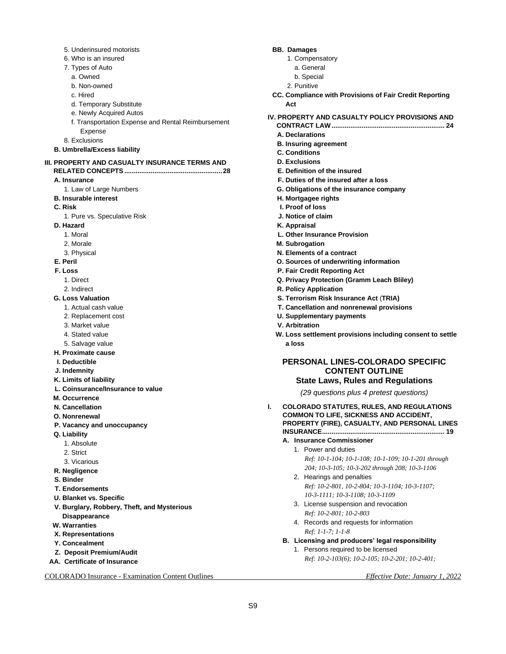- 5. Underinsured motorists
- 6. Who is an insured
- 7. Types of Auto
- a. Owned
- b. Non-owned
- c. Hired
- d. Temporary Substitute
- e. Newly Acquired Autos
- f. Transportation Expense and Rental Reimbursement Expense
- 8. Exclusions
- **B. Umbrella/Excess liability**
- **III. PROPERTY AND CASUALTY INSURANCE TERMS AND RELATED CONCEPTS....................................................28**
	- **A. Insurance** 
		- 1. Law of Large Numbers
	- **B. Insurable interest**
	- **C. Risk** 
		- 1. Pure vs. Speculative Risk
	- **D. Hazard** 
		- 1. Moral
		- 2. Morale
		- 3. Physical
	- **E. Peril**
	- **F. Loss** 
		- 1. Direct
		- 2. Indirect
	- **G. Loss Valuation**
		- 1. Actual cash value
		- 2. Replacement cost
		- 3. Market value
		- 4. Stated value
		- 5. Salvage value
	- **H. Proximate cause**
	- **I. Deductible**
	- **J. Indemnity**
	- **K. Limits of liability**
	- **L. Coinsurance/Insurance to value**
	- **M. Occurrence**
	- **N. Cancellation**
	- **O. Nonrenewal**
	- **P. Vacancy and unoccupancy**
	- **Q. Liability** 
		- 1. Absolute
		- 2. Strict
		- 3. Vicarious
	- **R. Negligence**
	- **S. Binder**
	- **T. Endorsements**
	- **U. Blanket vs. Specific**
	- **V. Burglary, Robbery, Theft, and Mysterious Disappearance**
	- **W. Warranties**
	- **X. Representations**
	- **Y. Concealment**
	- **Z. Deposit Premium/Audit**
- **AA. Certificate of Insurance**

COLORADO Insurance - Examination Content Outlines *Effective Date: January 1, 2022*

#### **BB. Damages**

- 1. Compensatory
- a. General
- b. Special
- 2. Punitive
- **CC. Compliance with Provisions of Fair Credit Reporting Act**
- **IV. PROPERTY AND CASUALTY POLICY PROVISIONS AND** 
	- **CONTRACT LAW............................................................ 24 A. Declarations**
	- **B. Insuring agreement**
	- **C. Conditions**
	- **D. Exclusions**
	- **E. Definition of the insured**
	- **F. Duties of the insured after a loss**
	- **G. Obligations of the insurance company**
	- **H. Mortgagee rights**
	- **I. Proof of loss**
	- **J. Notice of claim**
	- **K. Appraisal**
	- **L. Other Insurance Provision**
	- **M. Subrogation**
	- **N. Elements of a contract**
	- **O. Sources of underwriting information**
	- **P. Fair Credit Reporting Act**
	- **Q. Privacy Protection (Gramm Leach Bliley)**
	- **R. Policy Application**
	- **S. Terrorism Risk Insurance Act** (**TRIA)**
	- **T. Cancellation and nonrenewal provisions**
	- **U. Supplementary payments**
	- **V. Arbitration**
	- **W. Loss settlement provisions including consent to settle a loss**

# **PERSONAL LINES-COLORADO SPECIFIC CONTENT OUTLINE**

# **State Laws, Rules and Regulations**

*(29 questions plus 4 pretest questions)*

- **I. COLORADO STATUTES, RULES, AND REGULATIONS COMMON TO LIFE, SICKNESS AND ACCIDENT, PROPERTY (FIRE), CASUALTY, AND PERSONAL LINES INSURANCE................................................................. 19**
	- **A. Insurance Commissioner**
		- 1. Power and duties
			- *Ref: 10-1-104; 10-1-108; 10-1-109; 10-1-201 through 204; 10-3-105; 10-3-202 through 208; 10-3-1106*
		- 2. Hearings and penalties *Ref: 10-2-801, 10-2-804; 10-3-1104; 10-3-1107; 10-3-1111; 10-3-1108; 10-3-1109*
		- 3. License suspension and revocation *Ref: 10-2-801; 10-2-803*
		- 4. Records and requests for information *Ref: 1-1-7; 1-1-8*
	- **B. Licensing and producers' legal responsibility**
		- 1. Persons required to be licensed *Ref: 10-2-103(6); 10-2-105; 10-2-201; 10-2-401;*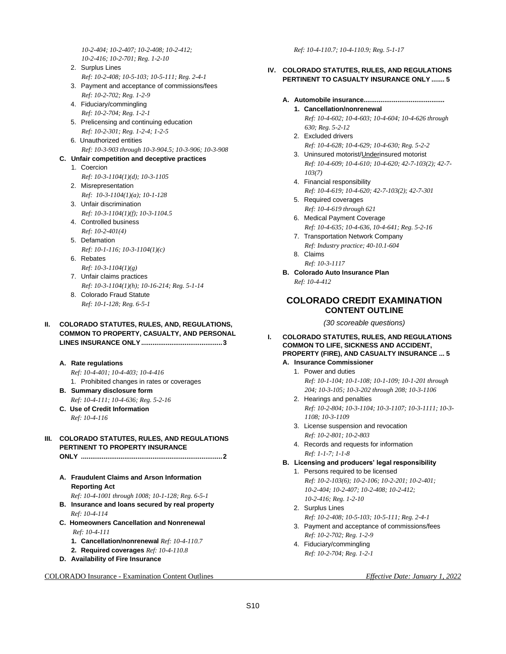*10-2-404; 10-2-407; 10-2-408; 10-2-412; 10-2-416; 10-2-701; Reg. 1-2-10*

- 2. Surplus Lines *Ref: 10-2-408; 10-5-103; 10-5-111; Reg. 2-4-1*
- 3. Payment and acceptance of commissions/fees *Ref: 10-2-702; Reg. 1-2-9*
- 4. Fiduciary/commingling *Ref: 10-2-704; Reg. 1-2-1*
- 5. Prelicensing and continuing education *Ref: 10-2-301; Reg. 1-2-4; 1-2-5*
- 6. Unauthorized entities *Ref: 10-3-903 through 10-3-904.5; 10-3-906; 10-3-908*

### **C. Unfair competition and deceptive practices**

- 1. Coercion *Ref: 10-3-1104(1)(d); 10-3-1105*
- 2. Misrepresentation *Ref: 10-3-1104(1)(a); 10-1-128*
- 3. Unfair discrimination *Ref: 10-3-1104(1)(f); 10-3-1104.5*
- 4. Controlled business *Ref: 10-2-401(4)*

# 5. Defamation

- *Ref: 10-1-116; 10-3-1104(1)(c)*
- 6. Rebates *Ref: 10-3-1104(1)(g)*
- 7. Unfair claims practices
- *Ref: 10-3-1104(1)(h); 10-16-214; Reg. 5-1-14*
- 8. Colorado Fraud Statute *Ref: 10-1-128; Reg. 6-5-1*

### **II. COLORADO STATUTES, RULES, AND, REGULATIONS, COMMON TO PROPERTY, CASUALTY, AND PERSONAL LINES INSURANCE ONLY...........................................3**

#### **A. Rate regulations**

*Ref: 10-4-401; 10-4-403; 10-4-416*

- 1. Prohibited changes in rates or coverages
- **B. Summary disclosure form** *Ref: 10-4-111; 10-4-636; Reg. 5-2-16*
- **C. Use of Credit Information** *Ref: 10-4-116*

# **III. COLORADO STATUTES, RULES, AND REGULATIONS PERTINENT TO PROPERTY INSURANCE**

**ONLY ...........................................................................2**

- **A. Fraudulent Claims and Arson Information Reporting Act**
	- *Ref: 10-4-1001 through 1008; 10-1-128; Reg. 6-5-1*
- **B. Insurance and loans secured by real property** *Ref: 10-4-114*
- **C. Homeowners Cancellation and Nonrenewal** *Ref: 10-4-111*
	- **1. Cancellation/nonrenewal** *Ref: 10-4-110.7*
	- **2. Required coverages** *Ref: 10-4-110.8*
- **D. Availability of Fire Insurance**

COLORADO Insurance - Examination Content Outlines *Effective Date: January 1, 2022*

*Ref: 10-4-110.7; 10-4-110.9; Reg. 5-1-17*

### **IV. COLORADO STATUTES, RULES, AND REGULATIONS PERTINENT TO CASUALTY INSURANCE ONLY ....... 5**

### **A. Automobile insurance...........................................**

- **1. Cancellation/nonrenewal** *Ref: 10-4-602; 10-4-603; 10-4-604; 10-4-626 through 630; Reg. 5-2-12*
- 2. Excluded drivers *Ref: 10-4-628; 10-4-629; 10-4-630; Reg. 5-2-2*
- 3. Uninsured motorist/Underinsured motorist *Ref: 10-4-609; 10-4-610; 10-4-620; 42-7-103(2); 42-7- 103(7)*
- 4. Financial responsibility
	- *Ref: 10-4-619; 10-4-620; 42-7-103(2); 42-7-301*
- 5. Required coverages *Ref: 10-4-619 through 621*
- 6. Medical Payment Coverage *Ref: 10-4-635; 10-4-636, 10-4-641; Reg. 5-2-16*
- 7. Transportation Network Company
	- *Ref: Industry practice; 40-10.1-604*
- 8. Claims *Ref: 10-3-1117*
- **B. Colorado Auto Insurance Plan** *Ref: 10-4-412*

# **COLORADO CREDIT EXAMINATION CONTENT OUTLINE**

*(30 scoreable questions)*

### **I. COLORADO STATUTES, RULES, AND REGULATIONS COMMON TO LIFE, SICKNESS AND ACCIDENT, PROPERTY (FIRE), AND CASUALTY INSURANCE ... 5**

# **A. Insurance Commissioner**

- 1. Power and duties *Ref: 10-1-104; 10-1-108; 10-1-109; 10-1-201 through 204; 10-3-105; 10-3-202 through 208; 10-3-1106*
- 2. Hearings and penalties *Ref: 10-2-804; 10-3-1104; 10-3-1107; 10-3-1111; 10-3- 1108; 10-3-1109*
- 3. License suspension and revocation *Ref: 10-2-801; 10-2-803*
- 4. Records and requests for information *Ref: 1-1-7; 1-1-8*

# **B. Licensing and producers' legal responsibility**

- 1. Persons required to be licensed *Ref: 10-2-103(6); 10-2-106; 10-2-201; 10-2-401; 10-2-404; 10-2-407; 10-2-408; 10-2-412; 10-2-416; Reg. 1-2-10*
- 2. Surplus Lines
- *Ref: 10-2-408; 10-5-103; 10-5-111; Reg. 2-4-1* 3. Payment and acceptance of commissions/fees *Ref: 10-2-702; Reg. 1-2-9*
- 4. Fiduciary/commingling *Ref: 10-2-704; Reg. 1-2-1*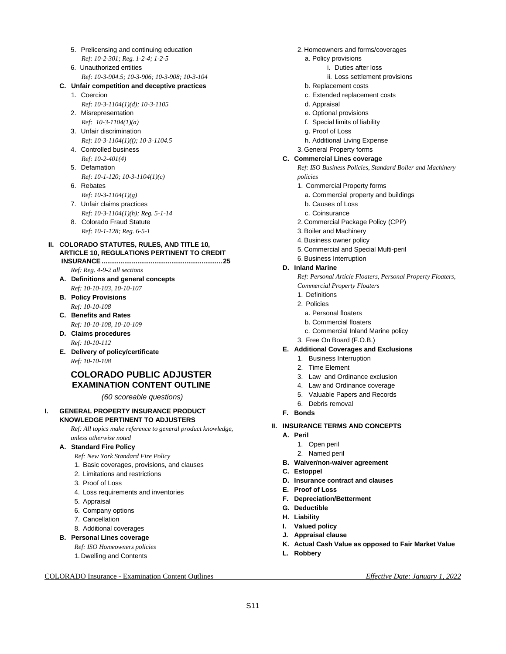- 5. Prelicensing and continuing education *Ref: 10-2-301; Reg. 1-2-4; 1-2-5*
- 6. Unauthorized entities *Ref: 10-3-904.5; 10-3-906; 10-3-908; 10-3-104*

### **C. Unfair competition and deceptive practices**

- 1. Coercion
- *Ref: 10-3-1104(1)(d); 10-3-1105* 2. Misrepresentation *Ref: 10-3-1104(1)(a)*
- 3. Unfair discrimination *Ref: 10-3-1104(1)(f); 10-3-1104.5*
- 4. Controlled business *Ref: 10-2-401(4)*
- 5. Defamation
- *Ref: 10-1-120; 10-3-1104(1)(c)* 6. Rebates
- *Ref: 10-3-1104(1)(g)*
- 7. Unfair claims practices
- *Ref: 10-3-1104(1)(h); Reg. 5-1-14*
- 8. Colorado Fraud Statute *Ref: 10-1-128; Reg. 6-5-1*

### **II. COLORADO STATUTES, RULES, AND TITLE 10, ARTICLE 10, REGULATIONS PERTINENT TO CREDIT INSURANCE................................................................25**

- *Ref: Reg. 4-9-2 all sections*
- **A. Definitions and general concepts** *Ref: 10-10-103, 10-10-107*
- **B. Policy Provisions** *Ref: 10-10-108*
- **C. Benefits and Rates** *Ref: 10-10-108, 10-10-109*
- **D. Claims procedures** *Ref: 10-10-112*
- **E. Delivery of policy/certificate** *Ref: 10-10-108*

# **COLORADO PUBLIC ADJUSTER EXAMINATION CONTENT OUTLINE**

*(60 scoreable questions)*

#### **I. GENERAL PROPERTY INSURANCE PRODUCT KNOWLEDGE PERTINENT TO ADJUSTERS**

*Ref: All topics make reference to general product knowledge, unless otherwise noted*

# **A. Standard Fire Policy**

*Ref: New York Standard Fire Policy*

- 1. Basic coverages, provisions, and clauses
- 2. Limitations and restrictions
- 3. Proof of Loss
- 4. Loss requirements and inventories
- 5. Appraisal
- 6. Company options
- 7. Cancellation
- 8. Additional coverages
- **B. Personal Lines coverage**

*Ref: ISO Homeowners policies*

1. Dwelling and Contents

#### COLORADO Insurance - Examination Content Outlines *Effective Date: January 1, 2022*

- 2. Homeowners and forms/coverages
	- a. Policy provisions
		- i. Duties after loss
			- ii. Loss settlement provisions
	- b. Replacement costs
	- c. Extended replacement costs
	- d. Appraisal
	- e. Optional provisions
	- f. Special limits of liability
	- g. Proof of Loss
	- h. Additional Living Expense
- 3. General Property forms

#### **C. Commercial Lines coverage**

*Ref: ISO Business Policies, Standard Boiler and Machinery policies*

- 1. Commercial Property forms
	- a. Commercial property and buildings
	- b. Causes of Loss
- c. Coinsurance
- 2. Commercial Package Policy (CPP)
- 3. Boiler and Machinery
- 4. Business owner policy
- 5. Commercial and Special Multi-peril
- 6. Business Interruption

### **D. Inland Marine**

*Ref: Personal Article Floaters, Personal Property Floaters,* 

- *Commercial Property Floaters*
- 1. Definitions
- 2. Policies
	- a. Personal floaters
	- b. Commercial floaters
	- c. Commercial Inland Marine policy
- 3. Free On Board (F.O.B.)
- **E. Additional Coverages and Exclusions**
	- 1. Business Interruption
	- 2. Time Element
	- 3. Law and Ordinance exclusion
	- 4. Law and Ordinance coverage
	- 5. Valuable Papers and Records
	- 6. Debris removal
- **F. Bonds**
- **II. INSURANCE TERMS AND CONCEPTS**
	- **A. Peril**
		- 1. Open peril
		- 2. Named peril
	- **B. Waiver/non-waiver agreement**
	- **C. Estoppel**
	- **D. Insurance contract and clauses**
	- **E. Proof of Loss**
	- **F. Depreciation/Betterment**
	- **G. Deductible**
	- **H. Liability**
	- **I. Valued policy**
	- **J. Appraisal clause**
	- **K. Actual Cash Value as opposed to Fair Market Value**
	- **L. Robbery**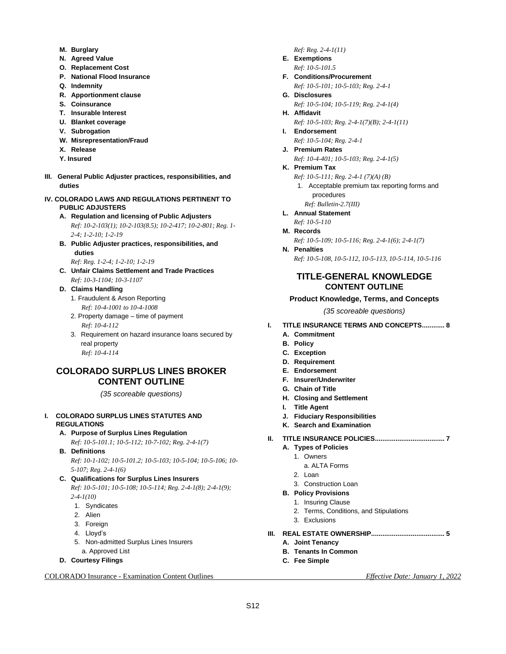- **M. Burglary**
- **N. Agreed Value**
- **O. Replacement Cost**
- **P. National Flood Insurance**
- **Q. Indemnity**
- **R. Apportionment clause**
- **S. Coinsurance**
- **T. Insurable Interest**
- **U. Blanket coverage**
- **V. Subrogation**
- **W. Misrepresentation/Fraud**
- **X. Release**
- **Y. Insured**
- **III. General Public Adjuster practices, responsibilities, and duties**

### **IV. COLORADO LAWS AND REGULATIONS PERTINENT TO PUBLIC ADJUSTERS**

- **A. Regulation and licensing of Public Adjusters** *Ref: 10-2-103(1); 10-2-103(8.5); 10-2-417; 10-2-801; Reg. 1- 2-4; 1-2-10; 1-2-19*
- **B. Public Adjuster practices, responsibilities, and duties**
- *Ref: Reg. 1-2-4; 1-2-10; 1-2-19* **C. Unfair Claims Settlement and Trade Practices**
	- *Ref: 10-3-1104; 10-3-1107*

# **D. Claims Handling**

- 1. Fraudulent & Arson Reporting *Ref: 10-4-1001 to 10-4-1008*
- 2. Property damage time of payment *Ref: 10-4-112*
- 3. Requirement on hazard insurance loans secured by real property *Ref: 10-4-114*

# **COLORADO SURPLUS LINES BROKER CONTENT OUTLINE**

*(35 scoreable questions)*

### **I. COLORADO SURPLUS LINES STATUTES AND REGULATIONS**

**A. Purpose of Surplus Lines Regulation** 

*Ref: 10-5-101.1; 10-5-112; 10-7-102; Reg. 2-4-1(7)*

**B. Definitions**

*Ref: 10-1-102; 10-5-101.2; 10-5-103; 10-5-104; 10-5-106; 10- 5-107; Reg. 2-4-1(6)*

- **C. Qualifications for Surplus Lines Insurers**  *Ref: 10-5-101; 10-5-108; 10-5-114; Reg. 2-4-1(8); 2-4-1(9); 2-4-1(10)*
	- 1. Syndicates
	- 2. Alien
	- 3. Foreign
	- 4. Lloyd's
	- 5. Non-admitted Surplus Lines Insurers
	- a. Approved List
- **D. Courtesy Filings**

COLORADO Insurance - Examination Content Outlines *Effective Date: January 1, 2022*

### *Ref: Reg. 2-4-1(11)*

- **E. Exemptions**  *Ref: 10-5-101.5*
- **F. Conditions/Procurement** *Ref: 10-5-101; 10-5-103; Reg. 2-4-1*
- **G. Disclosures**  *Ref: 10-5-104; 10-5-119; Reg. 2-4-1(4)* **H. Affidavit**
	- *Ref: 10-5-103; Reg. 2-4-1(7)(B); 2-4-1(11)*
- **I. Endorsement** *Ref: 10-5-104; Reg. 2-4-1*
- **J. Premium Rates** 
	- *Ref: 10-4-401; 10-5-103; Reg. 2-4-1(5)*
- **K. Premium Tax** 
	- *Ref: 10-5-111; Reg. 2-4-1 (7)(A) (B)*
	- 1. Acceptable premium tax reporting forms and procedures
	- *Ref: Bulletin-2.7(III)*
- **L. Annual Statement**  *Ref: 10-5-110*
- **M. Records** *Ref: 10-5-109; 10-5-116; Reg. 2-4-1(6); 2-4-1(7)*
- **N. Penalties** *Ref: 10-5-108, 10-5-112, 10-5-113, 10-5-114, 10-5-116*

# **TITLE-GENERAL KNOWLEDGE CONTENT OUTLINE**

# **Product Knowledge, Terms, and Concepts**

*(35 scoreable questions)*

- **I. TITLE INSURANCE TERMS AND CONCEPTS............ 8**
	- **A. Commitment**
	- **B. Policy**
	- **C. Exception**
	- **D. Requirement**
	- **E. Endorsement**
	- **F. Insurer/Underwriter**
	- **G. Chain of Title**
	- **H. Closing and Settlement**
	- **I. Title Agent**
	- **J. Fiduciary Responsibilities**
	- **K. Search and Examination**
- **II. TITLE INSURANCE POLICIES..................................... 7**
	- **A. Types of Policies**
		- 1. Owners
			- a. ALTA Forms
			- 2. Loan
			- 3. Construction Loan

#### **B. Policy Provisions**

- 1. Insuring Clause
- 2. Terms, Conditions, and Stipulations
- 3. Exclusions
- **III. REAL ESTATE OWNERSHIP....................................... 5**
	- **A. Joint Tenancy**
	- **B. Tenants In Common**
	- **C. Fee Simple**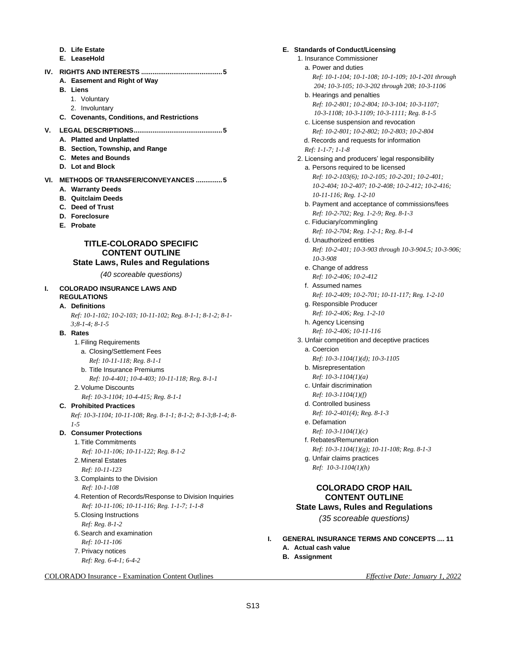- **D. Life Estate**
- **E. LeaseHold**
- **IV. RIGHTS AND INTERESTS ...........................................5 A. Easement and Right of Way**
	- **B. Liens**
		- 1. Voluntary
		- 2. Involuntary
	- **C. Covenants, Conditions, and Restrictions**
- **V. LEGAL DESCRIPTIONS...............................................5**
	- **A. Platted and Unplatted**
	- **B. Section, Township, and Range**
	- **C. Metes and Bounds**
	- **D. Lot and Block**
- **VI. METHODS OF TRANSFER/CONVEYANCES ..............5**
	- **A. Warranty Deeds**
	- **B. Quitclaim Deeds**
	- **C. Deed of Trust**
	- **D. Foreclosure**
	- **E. Probate**

# **TITLE-COLORADO SPECIFIC CONTENT OUTLINE**

# **State Laws, Rules and Regulations**

*(40 scoreable questions)*

#### **I. COLORADO INSURANCE LAWS AND REGULATIONS**

#### **A. Definitions**

*Ref: 10-1-102; 10-2-103; 10-11-102; Reg. 8-1-1; 8-1-2; 8-1- 3;8-1-4; 8-1-5*

#### **B. Rates**

- 1. Filing Requirements
	- a. Closing/Settlement Fees
		- *Ref: 10-11-118; Reg. 8-1-1*
	- b. Title Insurance Premiums *Ref: 10-4-401; 10-4-403; 10-11-118; Reg. 8-1-1*
- 2. Volume Discounts
- *Ref: 10-3-1104; 10-4-415; Reg. 8-1-1*

**C. Prohibited Practices**  *Ref: 10-3-1104; 10-11-108; Reg. 8-1-1; 8-1-2; 8-1-3;8-1-4; 8- 1-5* 

#### **D. Consumer Protections**

- 1. Title Commitments
- *Ref: 10-11-106; 10-11-122; Reg. 8-1-2*
- 2. Mineral Estates
- *Ref: 10-11-123*
- 3. Complaints to the Division *Ref: 10-1-108*
- 4. Retention of Records/Response to Division Inquiries *Ref: 10-11-106; 10-11-116; Reg. 1-1-7; 1-1-8*
- 5. Closing Instructions
	- *Ref: Reg. 8-1-2*
- 6. Search and examination *Ref: 10-11-106*
- 7. Privacy notices *Ref: Reg. 6-4-1; 6-4-2*

COLORADO Insurance - Examination Content Outlines *Effective Date: January 1, 2022*

**E. Standards of Conduct/Licensing** 

1. Insurance Commissioner a. Power and duties *Ref: 10-1-104; 10-1-108; 10-1-109; 10-1-201 through 204; 10-3-105; 10-3-202 through 208; 10-3-1106* b. Hearings and penalties *Ref: 10-2-801; 10-2-804; 10-3-104; 10-3-1107; 10-3-1108; 10-3-1109; 10-3-1111; Reg. 8-1-5* c. License suspension and revocation *Ref: 10-2-801; 10-2-802; 10-2-803; 10-2-804* d. Records and requests for information *Ref: 1-1-7; 1-1-8* 2. Licensing and producers' legal responsibility a. Persons required to be licensed *Ref: 10-2-103(6); 10-2-105; 10-2-201; 10-2-401; 10-2-404; 10-2-407; 10-2-408; 10-2-412; 10-2-416; 10-11-116; Reg. 1-2-10* b. Payment and acceptance of commissions/fees *Ref: 10-2-702; Reg. 1-2-9; Reg. 8-1-3* c. Fiduciary/commingling *Ref: 10-2-704; Reg. 1-2-1; Reg. 8-1-4* d. Unauthorized entities *Ref: 10-2-401; 10-3-903 through 10-3-904.5; 10-3-906; 10-3-908* e. Change of address *Ref: 10-2-406; 10-2-412* f. Assumed names *Ref: 10-2-409; 10-2-701; 10-11-117; Reg. 1-2-10* g. Responsible Producer *Ref: 10-2-406; Reg. 1-2-10* h. Agency Licensing *Ref: 10-2-406; 10-11-116* 3. Unfair competition and deceptive practices a. Coercion *Ref: 10-3-1104(1)(d); 10-3-1105* b. Misrepresentation *Ref: 10-3-1104(1)(a)* c. Unfair discrimination *Ref: 10-3-1104(1)(f)* d. Controlled business *Ref: 10-2-401(4); Reg. 8-1-3* e. Defamation *Ref: 10-3-1104(1)(c)* f. Rebates/Remuneration *Ref: 10-3-1104(1)(g); 10-11-108; Reg. 8-1-3* g. Unfair claims practices *Ref: 10-3-1104(1)(h)*

# **COLORADO CROP HAIL CONTENT OUTLINE State Laws, Rules and Regulations**

*(35 scoreable questions)*

- **I. GENERAL INSURANCE TERMS AND CONCEPTS .... 11**
	- **A. Actual cash value**
	- **B. Assignment**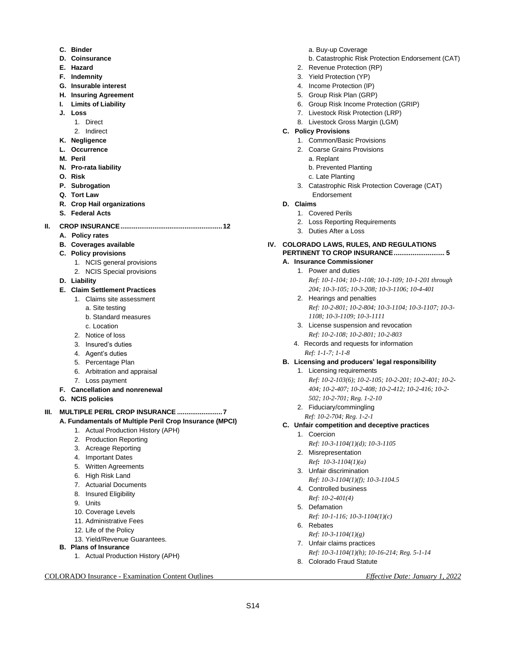- **C. Binder**
- **D. Coinsurance**
- **E. Hazard**
- **F. Indemnity**
- **G. Insurable interest**
- **H. Insuring Agreement**
- **I. Limits of Liability**
- **J. Loss** 
	- 1. Direct
	- 2. Indirect
- **K. Negligence**
- **L. Occurrence**
- **M. Peril**
- **N. Pro-rata liability**
- **O. Risk**
- **P. Subrogation**
- **Q. Tort Law**
- **R. Crop Hail organizations**
- **S. Federal Acts**
- **II. CROP INSURANCE......................................................12** 
	- **A. Policy rates**
	- **B. Coverages available**
	- **C. Policy provisions** 
		- 1. NCIS general provisions
		- 2. NCIS Special provisions
	- **D. Liability**
	- **E. Claim Settlement Practices**
		- 1. Claims site assessment
			- a. Site testing
			- b. Standard measures
		- c. Location
		- 2. Notice of loss
		- 3. Insured's duties
		- 4. Agent's duties
		- 5. Percentage Plan
		- 6. Arbitration and appraisal
		- 7. Loss payment
	- **F. Cancellation and nonrenewal**
	- **G. NCIS policies**

**III. MULTIPLE PERIL CROP INSURANCE ........................7 A. Fundamentals of Multiple Peril Crop Insurance (MPCI)**

- 1. Actual Production History (APH)
	-
	- 2. Production Reporting
	- 3. Acreage Reporting
	- 4. Important Dates
	- 5. Written Agreements
	- 6. High Risk Land
	- 7. Actuarial Documents
	- 8. Insured Eligibility
	- 9. Units
	- 10. Coverage Levels
	- 11. Administrative Fees
	- 12. Life of the Policy
- 13. Yield/Revenue Guarantees.
- **B. Plans of Insurance**
	- 1. Actual Production History (APH)

COLORADO Insurance - Examination Content Outlines *Effective Date: January 1, 2022*

- a. Buy-up Coverage
- b. Catastrophic Risk Protection Endorsement (CAT)
- 2. Revenue Protection (RP)
- 3. Yield Protection (YP)
- 4. Income Protection (IP)
- 5. Group Risk Plan (GRP)
- 6. Group Risk Income Protection (GRIP)
- 7. Livestock Risk Protection (LRP)
- 8. Livestock Gross Margin (LGM)
- **C. Policy Provisions**
	- 1. Common/Basic Provisions
	- 2. Coarse Grains Provisions
		- a. Replant
		- b. Prevented Planting
		- c. Late Planting
	- 3. Catastrophic Risk Protection Coverage (CAT) Endorsement
- **D. Claims**
	- 1. Covered Perils
	- 2. Loss Reporting Requirements
	- 3. Duties After a Loss
- **IV. COLORADO LAWS, RULES, AND REGULATIONS PERTINENT TO CROP INSURANCE........................... 5**
	- **A. Insurance Commissioner**
		- 1. Power and duties *Ref: 10-1-104; 10-1-108; 10-1-109; 10-1-201 through 204; 10-3-105; 10-3-208; 10-3-1106; 10-4-401*
		- 2. Hearings and penalties *Ref: 10-2-801; 10-2-804; 10-3-1104; 10-3-1107; 10-3- 1108; 10-3-1109; 10-3-1111*
		- 3. License suspension and revocation *Ref: 10-2-108; 10-2-801; 10-2-803*
		- 4. Records and requests for information *Ref: 1-1-7; 1-1-8*
	- **B. Licensing and producers' legal responsibility**
		- 1. Licensing requirements

*Ref: 10-2-103(6); 10-2-105; 10-2-201; 10-2-401; 10-2- 404; 10-2-407; 10-2-408; 10-2-412; 10-2-416; 10-2- 502; 10-2-701; Reg. 1-2-10*

- 2. Fiduciary/commingling
- *Ref: 10-2-704; Reg. 1-2-1*
- **C. Unfair competition and deceptive practices**
	- 1. Coercion
		- *Ref: 10-3-1104(1)(d); 10-3-1105*
		- 2. Misrepresentation *Ref: 10-3-1104(1)(a)*
		- 3. Unfair discrimination *Ref: 10-3-1104(1)(f); 10-3-1104.5*
		- 4. Controlled business *Ref: 10-2-401(4)*
		- 5. Defamation
			- *Ref: 10-1-116; 10-3-1104(1)(c)*
	- 6. Rebates *Ref: 10-3-1104(1)(g)*

S14

- 7. Unfair claims practices
- *Ref: 10-3-1104(1)(h); 10-16-214; Reg. 5-1-14*
- 8. Colorado Fraud Statute